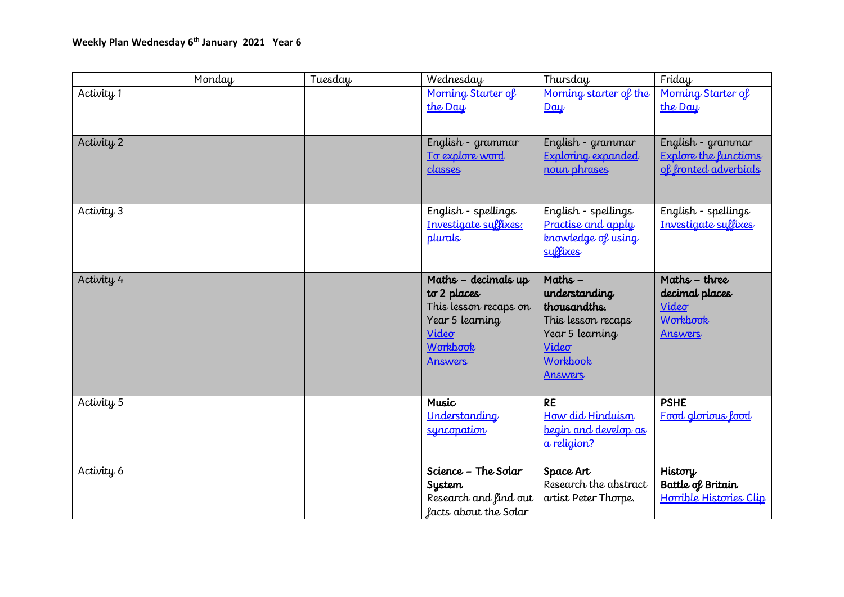|                       | Monday | Tuesday | Wednesday             | Thursday                  | Friday                       |
|-----------------------|--------|---------|-----------------------|---------------------------|------------------------------|
| Activity 1            |        |         | Morning Starter of    | Morning starter of the    | Morning Starter of           |
|                       |        |         | the Day               | $D\alpha\psi$             | the Day                      |
|                       |        |         |                       |                           |                              |
| Activity 2            |        |         | English - grammar     | English - grammar         | English - grammar            |
|                       |        |         | To explore word       | <b>Exploring expanded</b> | <b>Explore the functions</b> |
|                       |        |         | classes               | noun phrases              | of fronted adverbials        |
|                       |        |         |                       |                           |                              |
|                       |        |         |                       |                           |                              |
| Activity 3            |        |         | English - spellings   | English - spellings       | English - spellings          |
|                       |        |         | Investigate suffixes: | Practise and apply        | Investigate suffixes         |
|                       |        |         | plurals               | knowledge of using        |                              |
|                       |        |         |                       | suffixes                  |                              |
|                       |        |         |                       |                           |                              |
| Activity 4            |        |         | Maths - decimals up   | Maths $-$                 | Maths - three                |
|                       |        |         | to 2 places           | understanding             | decimal places               |
|                       |        |         | This lesson recaps on | thousandths.              | Video                        |
|                       |        |         | Year 5 learning       | This lesson recaps        | Workbook                     |
|                       |        |         | Video                 | Year 5 learning           | <b>Answers</b>               |
|                       |        |         | Workbook              | Video                     |                              |
|                       |        |         | <b>Answers</b>        | Workbook                  |                              |
|                       |        |         |                       | <b>Answers</b>            |                              |
| Activity <sub>5</sub> |        |         | <b>Music</b>          | <b>RE</b>                 | <b>PSHE</b>                  |
|                       |        |         | Understanding         | How did Hinduism          | Food glorious lood           |
|                       |        |         | suncopation           | begin and develop as      |                              |
|                       |        |         |                       | a religion?               |                              |
|                       |        |         |                       |                           |                              |
| Activity 6            |        |         | Science - The Solar   | Space Art                 | History                      |
|                       |        |         | <b>System</b>         | Research the abstract     | Battle of Britain            |
|                       |        |         | Research and find out | artist Peter Thorpe.      | Horrible Histories Clip      |
|                       |        |         | facts about the Solar |                           |                              |